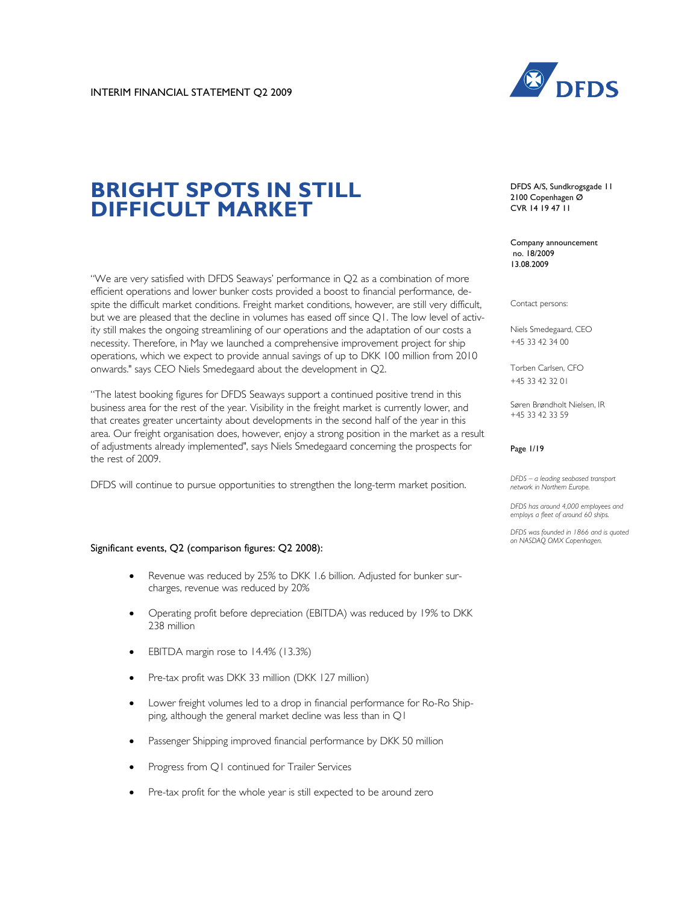

# **BRIGHT SPOTS IN STILL DIFFICULT MARKET**

"We are very satisfied with DFDS Seaways' performance in Q2 as a combination of more efficient operations and lower bunker costs provided a boost to financial performance, despite the difficult market conditions. Freight market conditions, however, are still very difficult, but we are pleased that the decline in volumes has eased off since Q1. The low level of activity still makes the ongoing streamlining of our operations and the adaptation of our costs a necessity. Therefore, in May we launched a comprehensive improvement project for ship operations, which we expect to provide annual savings of up to DKK 100 million from 2010 onwards." says CEO Niels Smedegaard about the development in Q2.

"The latest booking figures for DFDS Seaways support a continued positive trend in this business area for the rest of the year. Visibility in the freight market is currently lower, and that creates greater uncertainty about developments in the second half of the year in this area. Our freight organisation does, however, enjoy a strong position in the market as a result of adjustments already implemented", says Niels Smedegaard concerning the prospects for the rest of 2009.

DFDS will continue to pursue opportunities to strengthen the long-term market position.

#### Significant events, Q2 (comparison figures: Q2 2008):

- Revenue was reduced by 25% to DKK 1.6 billion. Adjusted for bunker surcharges, revenue was reduced by 20%
- Operating profit before depreciation (EBITDA) was reduced by 19% to DKK 238 million
- EBITDA margin rose to 14.4% (13.3%)
- Pre-tax profit was DKK 33 million (DKK 127 million)
- Lower freight volumes led to a drop in financial performance for Ro-Ro Shipping, although the general market decline was less than in Q1
- Passenger Shipping improved financial performance by DKK 50 million
- Progress from Q1 continued for Trailer Services
- Pre-tax profit for the whole year is still expected to be around zero

DFDS A/S, Sundkrogsgade 11 2100 Copenhagen Ø CVR 14 19 47 11

Company announcement no. 18/2009 13.08.2009

Contact persons:

Niels Smedegaard, CEO +45 33 42 34 00

Torben Carlsen, CFO +45 33 42 32 01

Søren Brøndholt Nielsen, IR +45 33 42 33 59

#### Page 1/19

*DFDS – a leading seabased transport network in Northern Europe.* 

*DFDS has around 4,000 employees and employs a fleet of around 60 ships.* 

*DFDS was founded in 1866 and is quoted on NASDAQ OMX Copenhagen.*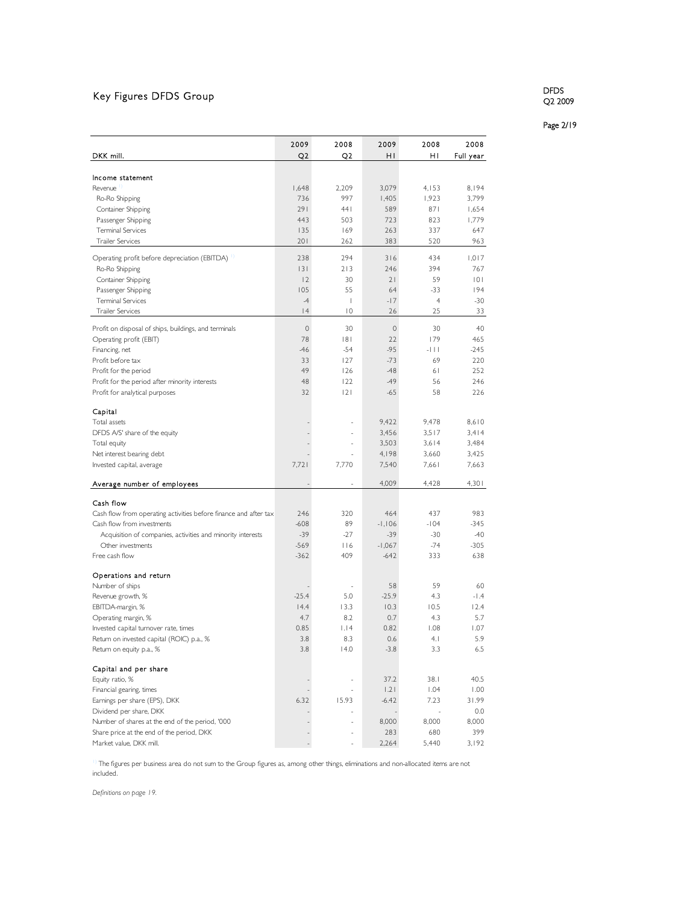# Key Figures DFDS Group

DFDS Q2 2009

Page 2/19

|                                                                  | 2009        | 2008           | 2009        | 2008           | 2008      |
|------------------------------------------------------------------|-------------|----------------|-------------|----------------|-----------|
| DKK mill.                                                        | Q2          | Q2             | н١          | н١             | Full year |
|                                                                  |             |                |             |                |           |
| Income statement                                                 |             |                |             |                |           |
| Revenue                                                          | 1,648       | 2,209          | 3,079       | 4,153          | 8,194     |
| Ro-Ro Shipping                                                   | 736         | 997            | 1,405       | 1,923          | 3,799     |
| Container Shipping                                               | 291         | 441            | 589         | 871            | 1,654     |
| Passenger Shipping                                               | 443         | 503            | 723         | 823            | 1,779     |
| <b>Terminal Services</b>                                         | 135         | 169            | 263         | 337            | 647       |
| <b>Trailer Services</b>                                          | 201         | 262            | 383         | 520            | 963       |
| Operating profit before depreciation (EBITDA)                    | 238         | 294            | 316         | 434            | 1,017     |
| Ro-Ro Shipping                                                   | 3           | 213            | 246         | 394            | 767       |
| Container Shipping                                               | 2           | 30             | 21          | 59             | 0         |
| Passenger Shipping                                               | 105         | 55             | 64          | $-33$          | 194       |
| <b>Terminal Services</b>                                         | $-4$        | I              | $-17$       | $\overline{4}$ | $-30$     |
| <b>Trailer Services</b>                                          | 4           | $\overline{0}$ | 26          | 25             | 33        |
| Profit on disposal of ships, buildings, and terminals            | $\mathbf 0$ | 30             | $\mathbb O$ | 30             | 40        |
| Operating profit (EBIT)                                          | 78          | 8              | 22          | 179            | 465       |
| Financing, net                                                   | $-46$       | $-54$          | $-95$       | -111           | $-245$    |
| Profit before tax                                                | 33          | 127            | $-73$       | 69             | 220       |
| Profit for the period                                            | 49          | 126            | $-48$       | 61             | 252       |
| Profit for the period after minority interests                   | 48          | 122            | $-49$       | 56             | 246       |
| Profit for analytical purposes                                   | 32          | 2              | $-65$       | 58             | 226       |
|                                                                  |             |                |             |                |           |
| Capital                                                          |             |                |             |                |           |
| Total assets                                                     |             |                | 9,422       | 9.478          | 8,610     |
| DFDS A/S' share of the equity                                    |             |                | 3,456       | 3,517          | 3,414     |
| Total equity                                                     |             |                | 3,503       | 3.614          | 3,484     |
| Net interest bearing debt                                        |             |                | 4,198       | 3.660          | 3.425     |
| Invested capital, average                                        | 7,721       | 7,770          | 7,540       | 7,661          | 7,663     |
| Average number of employees                                      |             |                | 4,009       | 4,428          | 4,301     |
| Cash flow                                                        |             |                |             |                |           |
| Cash flow from operating activities before finance and after tax | 246         | 320            | 464         | 437            | 983       |
| Cash flow from investments                                       | $-608$      | 89             | $-1,106$    | $-104$         | $-345$    |
| Acquisition of companies, activities and minority interests      | $-39$       | $-27$          | $-39$       | $-30$          | $-40$     |
| Other investments                                                | $-569$      | 116            | $-1,067$    | $-74$          | $-305$    |
| Free cash flow                                                   | $-362$      | 409            | $-642$      | 333            | 638       |
|                                                                  |             |                |             |                |           |
| Operations and return                                            |             |                |             |                |           |
| Number of ships                                                  |             | ×,             | 58          | 59             | 60        |
| Revenue growth, %                                                | $-25.4$     | 5.0            | $-25.9$     | 4.3            | $-1.4$    |
| EBITDA-margin, %                                                 | 14.4        | 13.3           | 10.3        | 10.5           | 12.4      |
| Operating margin, %                                              | 4.7         | 8.2            | 0.7         | 4.3            | 5.7       |
| Invested capital turnover rate, times                            | 0.85        | 1.14           | 0.82        | 1.08           | 1.07      |
| Return on invested capital (ROIC) p.a., %                        | 3.8         | 8.3            | 0.6         | 4.1            | 5.9       |
| Return on equity p.a., %                                         | 3.8         | 14.0           | $-3.8$      | 3.3            | 6.5       |
| Capital and per share                                            |             |                |             |                |           |
| Equity ratio, %                                                  |             |                | 37.2        | 38.1           | 40.5      |
| Financial gearing, times                                         |             |                | 1.21        | 1.04           | 1.00      |
| Earnings per share (EPS), DKK                                    | 6.32        | 15.93          | $-6.42$     | 7.23           | 31.99     |
| Dividend per share, DKK                                          |             |                |             |                | 0.0       |
| Number of shares at the end of the period, '000                  |             | J.             | 8,000       | 8,000          | 8,000     |
| Share price at the end of the period, DKK                        |             |                | 283         | 680            | 399       |
| Market value, DKK mill.                                          |             |                | 2,264       | 5,440          | 3,192     |

1) The figures per business area do not sum to the Group figures as, among other things, eliminations and non-allocated items are not included.

*Definitions on page 19.*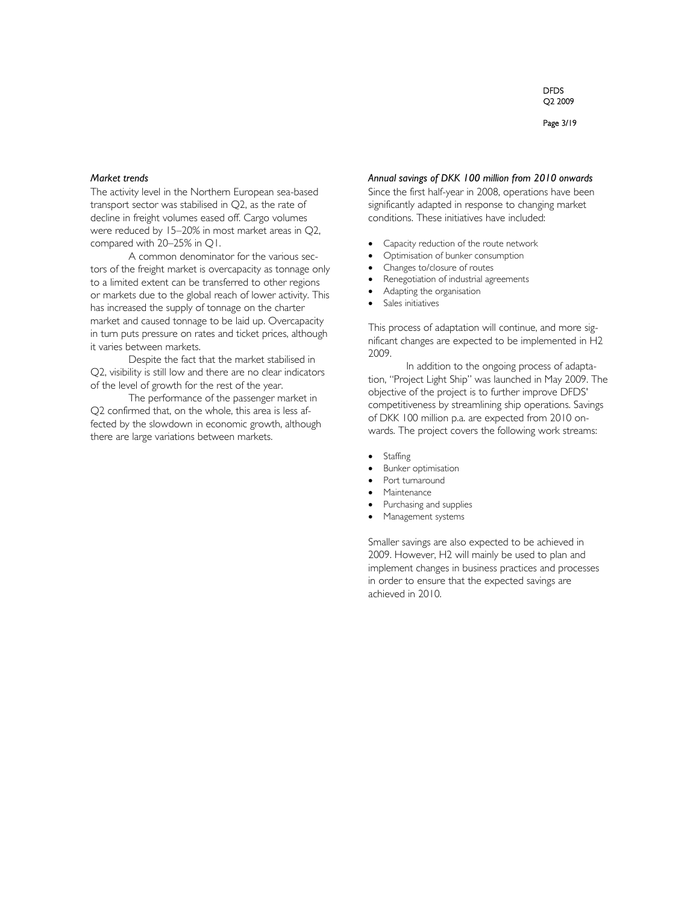#### Page 3/19

#### *Market trends*

The activity level in the Northern European sea-based transport sector was stabilised in Q2, as the rate of decline in freight volumes eased off. Cargo volumes were reduced by 15–20% in most market areas in Q2, compared with 20–25% in Q1.

A common denominator for the various sectors of the freight market is overcapacity as tonnage only to a limited extent can be transferred to other regions or markets due to the global reach of lower activity. This has increased the supply of tonnage on the charter market and caused tonnage to be laid up. Overcapacity in turn puts pressure on rates and ticket prices, although it varies between markets.

Despite the fact that the market stabilised in Q2, visibility is still low and there are no clear indicators of the level of growth for the rest of the year.

The performance of the passenger market in Q2 confirmed that, on the whole, this area is less affected by the slowdown in economic growth, although there are large variations between markets.

#### *Annual savings of DKK 100 million from 2010 onwards*

Since the first half-year in 2008, operations have been significantly adapted in response to changing market conditions. These initiatives have included:

- Capacity reduction of the route network
- Optimisation of bunker consumption
- Changes to/closure of routes
- Renegotiation of industrial agreements
- Adapting the organisation
- Sales initiatives

This process of adaptation will continue, and more significant changes are expected to be implemented in H2 2009.

In addition to the ongoing process of adaptation, "Project Light Ship" was launched in May 2009. The objective of the project is to further improve DFDS' competitiveness by streamlining ship operations. Savings of DKK 100 million p.a. are expected from 2010 onwards. The project covers the following work streams:

- Staffing
- Bunker optimisation
- Port turnaround
- Maintenance
- Purchasing and supplies
- Management systems

Smaller savings are also expected to be achieved in 2009. However, H2 will mainly be used to plan and implement changes in business practices and processes in order to ensure that the expected savings are achieved in 2010.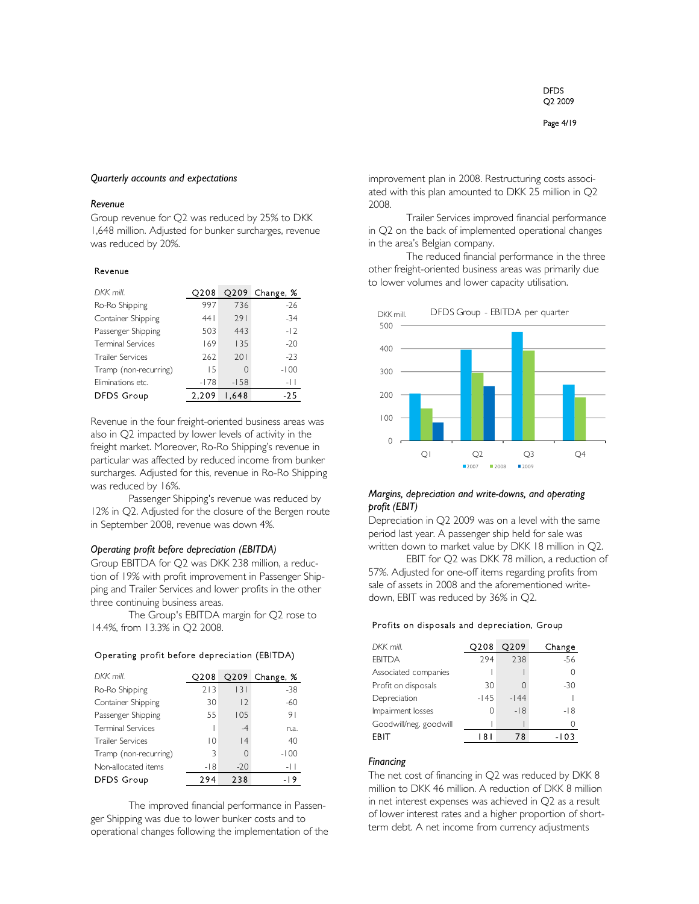#### Page 4/19

#### *Quarterly accounts and expectations*

#### *Revenue*

Group revenue for Q2 was reduced by 25% to DKK 1,648 million. Adjusted for bunker surcharges, revenue was reduced by 20%.

#### Revenue

| DKK mill.                | O208   | Q209   | Change, % |
|--------------------------|--------|--------|-----------|
| Ro-Ro Shipping           | 997    | 736    | $-26$     |
| Container Shipping       | 441    | 791    | $-34$     |
| Passenger Shipping       | 503    | 443    | $-12$     |
| <b>Terminal Services</b> | 169    | 135    | $-20$     |
| <b>Trailer Services</b>  | 262    | 201    | $-23$     |
| Tramp (non-recurring)    | 1.5    | 0      | $-100$    |
| Eliminations etc.        | $-178$ | $-158$ | -11       |
| <b>DFDS Group</b>        | 2.209  | 1.648  | -25       |

Revenue in the four freight-oriented business areas was also in Q2 impacted by lower levels of activity in the freight market. Moreover, Ro-Ro Shipping's revenue in particular was affected by reduced income from bunker surcharges. Adjusted for this, revenue in Ro-Ro Shipping was reduced by 16%.

Passenger Shipping's revenue was reduced by 12% in Q2. Adjusted for the closure of the Bergen route in September 2008, revenue was down 4%.

### *Operating profit before depreciation (EBITDA)*

Group EBITDA for Q2 was DKK 238 million, a reduction of 19% with profit improvement in Passenger Shipping and Trailer Services and lower profits in the other three continuing business areas.

The Group's EBITDA margin for Q2 rose to 14.4%, from 13.3% in Q2 2008.

#### Operating profit before depreciation (EBITDA)

| DKK mill.                | O208  | Q209     | Change, % |
|--------------------------|-------|----------|-----------|
| Ro-Ro Shipping           | 213   | 3        | $-38$     |
| Container Shipping       | 30    | 2        | $-60$     |
| Passenger Shipping       | 55    | 105      | 91        |
| <b>Terminal Services</b> |       | $-4$     | n.a.      |
| <b>Trailer Services</b>  | 10    | 4        | 40        |
| Tramp (non-recurring)    | 3     | $\Omega$ | $-100$    |
| Non-allocated items      | $-18$ | $-20$    | -11       |
| <b>DFDS Group</b>        | 294   | 238      | -19       |

The improved financial performance in Passenger Shipping was due to lower bunker costs and to operational changes following the implementation of the improvement plan in 2008. Restructuring costs associated with this plan amounted to DKK 25 million in Q2 2008.

Trailer Services improved financial performance in Q2 on the back of implemented operational changes in the area's Belgian company.

The reduced financial performance in the three other freight-oriented business areas was primarily due to lower volumes and lower capacity utilisation.



## *Margins, depreciation and write-downs, and operating profit (EBIT)*

Depreciation in Q2 2009 was on a level with the same period last year. A passenger ship held for sale was written down to market value by DKK 18 million in Q2.

EBIT for Q2 was DKK 78 million, a reduction of 57%. Adjusted for one-off items regarding profits from sale of assets in 2008 and the aforementioned writedown, EBIT was reduced by 36% in Q2.

#### Profits on disposals and depreciation, Group

| O208   | O209   | Change |
|--------|--------|--------|
| 294    | 238    | $-56$  |
|        |        |        |
| 30     | Ω      | -30    |
| $-145$ | $-144$ |        |
| Ω      | $-18$  | -18    |
|        |        |        |
| l 8 I  | 78     | -103   |
|        |        |        |

#### *Financing*

The net cost of financing in Q2 was reduced by DKK 8 million to DKK 46 million. A reduction of DKK 8 million in net interest expenses was achieved in Q2 as a result of lower interest rates and a higher proportion of shortterm debt. A net income from currency adjustments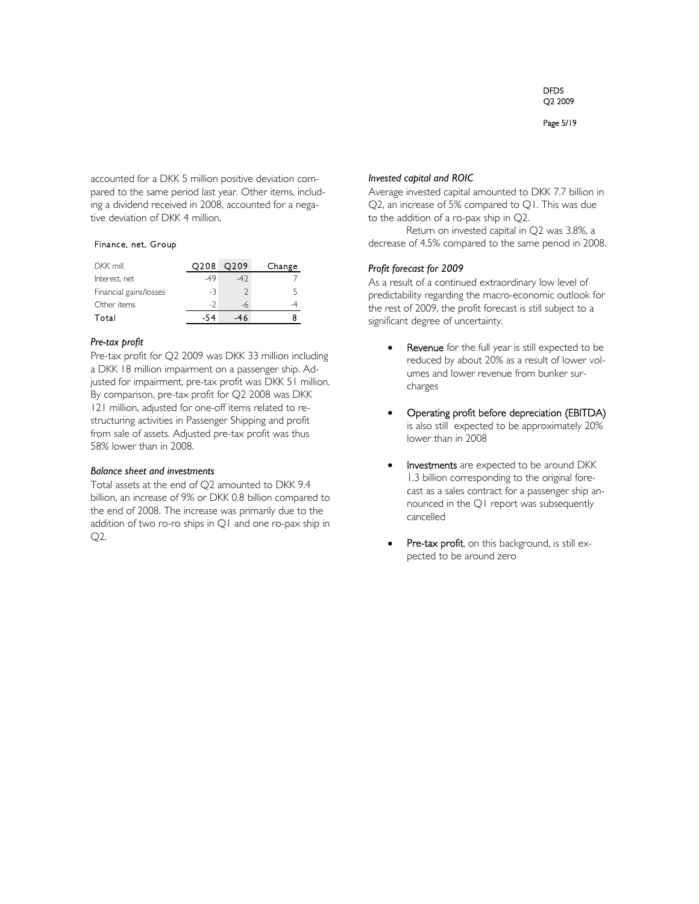Page 5/19

accounted for a DKK 5 million positive deviation compared to the same period last year. Other items, including a dividend received in 2008, accounted for a negative deviation of DKK 4 million.

## Finance, net, Group

| DKK mill.              | O208 | O <sub>2</sub> 09 | Change |
|------------------------|------|-------------------|--------|
| Interest, net          | -49  |                   |        |
| Financial gains/losses | -3   |                   |        |
| Other items            | $-2$ |                   |        |
| Total                  |      |                   |        |

## *Pre-tax profit*

Pre-tax profit for Q2 2009 was DKK 33 million including a DKK 18 million impairment on a passenger ship. Adjusted for impairment, pre-tax profit was DKK 51 million. By comparison, pre-tax profit for Q2 2008 was DKK 121 million, adjusted for one-off items related to restructuring activities in Passenger Shipping and profit from sale of assets. Adjusted pre-tax profit was thus 58% lower than in 2008.

## *Balance sheet and investments*

Total assets at the end of Q2 amounted to DKK 9.4 billion, an increase of 9% or DKK 0.8 billion compared to the end of 2008. The increase was primarily due to the addition of two ro-ro ships in Q1 and one ro-pax ship in Q2.

## *Invested capital and ROIC*

Average invested capital amounted to DKK 7.7 billion in Q2, an increase of 5% compared to Q1. This was due to the addition of a ro-pax ship in Q2.

Return on invested capital in Q2 was 3.8%, a decrease of 4.5% compared to the same period in 2008.

## *Profit forecast for 2009*

As a result of a continued extraordinary low level of predictability regarding the macro-economic outlook for the rest of 2009, the profit forecast is still subject to a significant degree of uncertainty.

- Revenue for the full year is still expected to be reduced by about 20% as a result of lower volumes and lower revenue from bunker surcharges
- Operating profit before depreciation (EBITDA) is also still expected to be approximately 20% lower than in 2008
- Investments are expected to be around DKK 1.3 billion corresponding to the original forecast as a sales contract for a passenger ship announced in the Q1 report was subsequently cancelled
- Pre-tax profit, on this background, is still expected to be around zero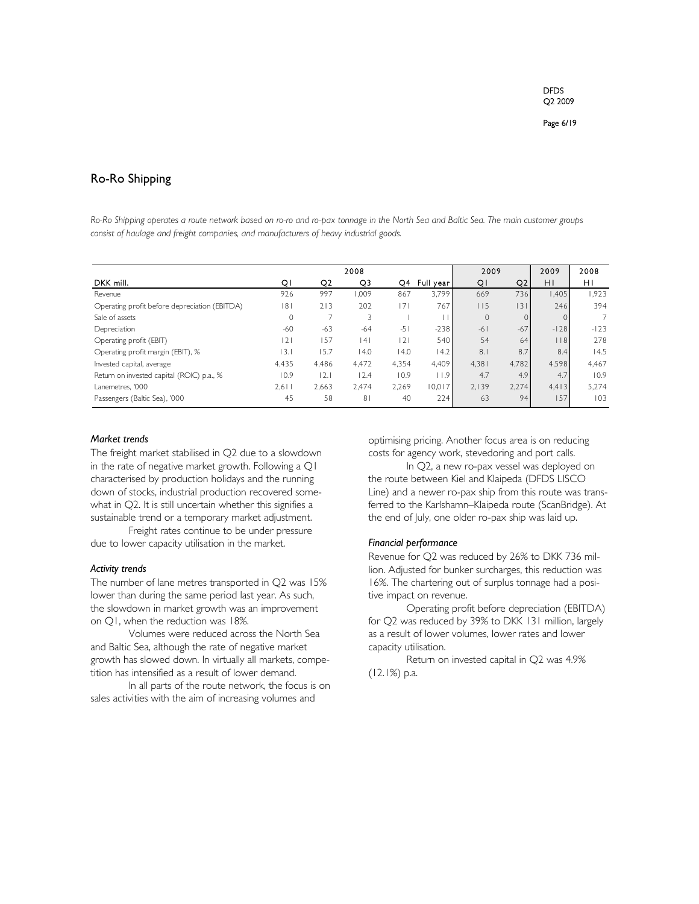## Ro-Ro Shipping

*Ro-Ro Shipping operates a route network based on ro-ro and ro-pax tonnage in the North Sea and Baltic Sea. The main customer groups consist of haulage and freight companies, and manufacturers of heavy industrial goods.* 

|                                               |         |                | 2008           |       |           | 2009         |                | 2009      | 2008           |
|-----------------------------------------------|---------|----------------|----------------|-------|-----------|--------------|----------------|-----------|----------------|
| DKK mill.                                     | QI      | Q <sub>2</sub> | Q3             | Q4    | Full year | QI           | Q <sub>2</sub> | ΗI        | HI             |
| Revenue                                       | 926     | 997            | 1.009          | 867   | 3,799     | 669          | 736            | .405      | 1.923          |
| Operating profit before depreciation (EBITDA) | 8       | 213            | 202            | 7     | 767       | 115          | 3              | 246       | 394            |
| Sale of assets                                | $\circ$ |                |                |       |           | $\mathbf{0}$ |                | $\Omega$  | $\overline{7}$ |
| Depreciation                                  | $-60$   | $-63$          | $-64$          | $-51$ | $-238$    | $-61$        | $-67$          | $-128$    | $-123$         |
| Operating profit (EBIT)                       | 2       | 157            | 4              | 2     | 540       | 54           | 64             | $ $ $ $ 8 | 278            |
| Operating profit margin (EBIT), %             | 13.1    | 15.7           | 14.0           | 4.0   | 14.2      | 8.1          | 8.7            | 8.4       | 14.5           |
| Invested capital, average                     | 4,435   | 4,486          | 4,472          | 4,354 | 4,409     | 4.381        | 4.782          | 4,598     | 4,467          |
| Return on invested capital (ROIC) p.a., %     | 10.9    | 2.             | 12.4           | 10.9  | 11.9      | 4.7          | 4.9            | 4.7       | 10.9           |
| Lanemetres, '000                              | $2,6$   | 2,663          | 2.474          | 2,269 | 10,017    | 2,139        | 2,274          | 4.413     | 5,274          |
| Passengers (Baltic Sea), '000                 | 45      | 58             | 8 <sup>1</sup> | 40    | 224       | 63           | 94             | 157       | 103            |

## *Market trends*

The freight market stabilised in Q2 due to a slowdown in the rate of negative market growth. Following a Q1 characterised by production holidays and the running down of stocks, industrial production recovered somewhat in Q2. It is still uncertain whether this signifies a sustainable trend or a temporary market adjustment.

Freight rates continue to be under pressure due to lower capacity utilisation in the market.

#### *Activity trends*

The number of lane metres transported in Q2 was 15% lower than during the same period last year. As such, the slowdown in market growth was an improvement on Q1, when the reduction was 18%.

Volumes were reduced across the North Sea and Baltic Sea, although the rate of negative market growth has slowed down. In virtually all markets, competition has intensified as a result of lower demand.

In all parts of the route network, the focus is on sales activities with the aim of increasing volumes and

optimising pricing. Another focus area is on reducing costs for agency work, stevedoring and port calls.

In Q2, a new ro-pax vessel was deployed on the route between Kiel and Klaipeda (DFDS LISCO Line) and a newer ro-pax ship from this route was transferred to the Karlshamn–Klaipeda route (ScanBridge). At the end of July, one older ro-pax ship was laid up.

## *Financial performance*

Revenue for Q2 was reduced by 26% to DKK 736 million. Adjusted for bunker surcharges, this reduction was 16%. The chartering out of surplus tonnage had a positive impact on revenue.

Operating profit before depreciation (EBITDA) for Q2 was reduced by 39% to DKK 131 million, largely as a result of lower volumes, lower rates and lower capacity utilisation.

Return on invested capital in Q2 was 4.9% (12.1%) p.a.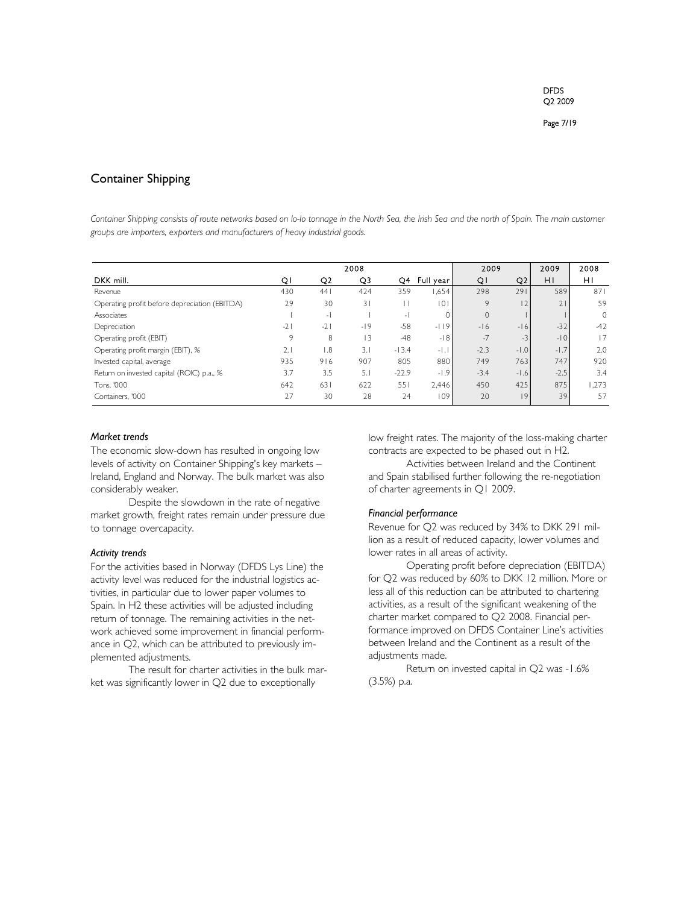## Container Shipping

Container Shipping consists of route networks based on lo-lo tonnage in the North Sea, the Irish Sea and the north of Spain. The main customer *groups are importers, exporters and manufacturers of heavy industrial goods.* 

|                                               |       |               | 2008  |                |           | 2009   |        | 2009   | 2008    |
|-----------------------------------------------|-------|---------------|-------|----------------|-----------|--------|--------|--------|---------|
| DKK mill.                                     | Q.    | Q2            | Q3    | Q4             | Full year | QI     | Q2     | ΗI     | HI      |
| Revenue                                       | 430   | 44            | 424   | 359            | 1,654     | 298    | 291    | 589    | 871     |
| Operating profit before depreciation (EBITDA) | 29    | 30            | 31    |                | 101       | 9      | 2      |        | 59      |
| Associates                                    |       | $-1$          |       | $\overline{a}$ |           | 0      |        |        | $\circ$ |
| Depreciation                                  | $-21$ | $-21$         | $-19$ | $-58$          | $-119$    | $-16$  | $-16$  | $-32$  | $-42$   |
| Operating profit (EBIT)                       | 9     | 8             | 13    | $-48$          | $-18$     | $-7$   | $-3$   | $-10$  | 17      |
| Operating profit margin (EBIT), %             | 2.1   | $\mathbf{.8}$ | 3.1   | $-13.4$        | $-1.1$    | $-2.3$ | $-1.0$ | $-1.7$ | 2.0     |
| Invested capital, average                     | 935   | 916           | 907   | 805            | 880       | 749    | 763    | 747    | 920     |
| Return on invested capital (ROIC) p.a., %     | 3.7   | 3.5           | 5.1   | $-22.9$        | $-1.9$    | $-3.4$ | $-1.6$ | $-2.5$ | 3.4     |
| Tons. '000                                    | 642   | 631           | 622   | 551            | 2.446     | 450    | 425    | 875    | .273    |
| Containers, '000                              | 27    | 30            | 28    | 24             | 109       | 20     | 9      | 39     | 57      |

#### *Market trends*

The economic slow-down has resulted in ongoing low levels of activity on Container Shipping's key markets – Ireland, England and Norway. The bulk market was also considerably weaker.

Despite the slowdown in the rate of negative market growth, freight rates remain under pressure due to tonnage overcapacity.

#### *Activity trends*

For the activities based in Norway (DFDS Lys Line) the activity level was reduced for the industrial logistics activities, in particular due to lower paper volumes to Spain. In H2 these activities will be adjusted including return of tonnage. The remaining activities in the network achieved some improvement in financial performance in Q2, which can be attributed to previously implemented adjustments.

The result for charter activities in the bulk market was significantly lower in Q2 due to exceptionally

low freight rates. The majority of the loss-making charter contracts are expected to be phased out in H2.

Activities between Ireland and the Continent and Spain stabilised further following the re-negotiation of charter agreements in Q1 2009.

## *Financial performance*

Revenue for Q2 was reduced by 34% to DKK 291 million as a result of reduced capacity, lower volumes and lower rates in all areas of activity.

Operating profit before depreciation (EBITDA) for Q2 was reduced by 60% to DKK 12 million. More or less all of this reduction can be attributed to chartering activities, as a result of the significant weakening of the charter market compared to Q2 2008. Financial performance improved on DFDS Container Line's activities between Ireland and the Continent as a result of the adjustments made.

Return on invested capital in Q2 was -1.6% (3.5%) p.a.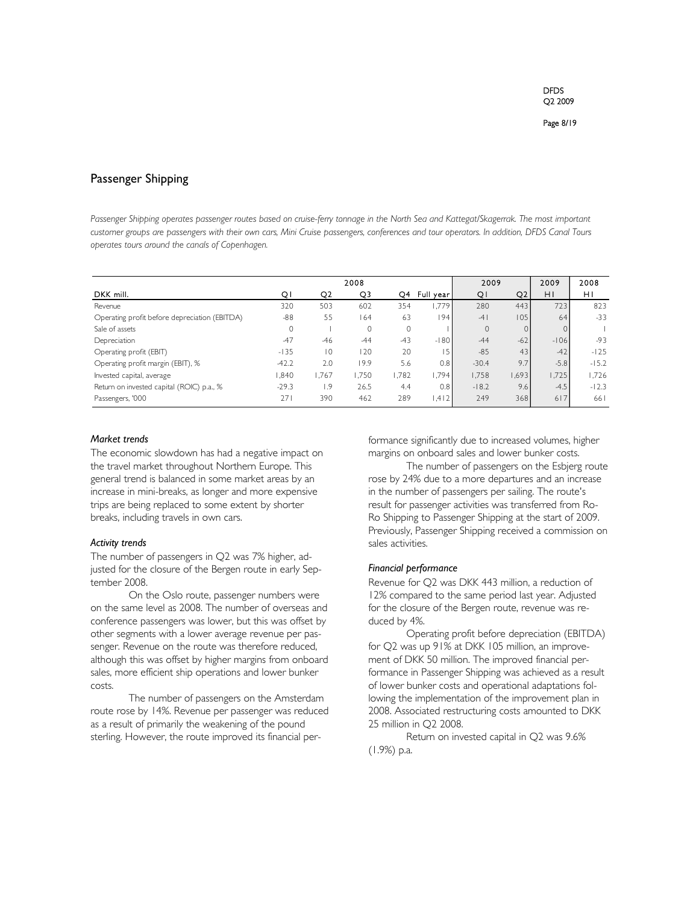## Passenger Shipping

Passenger Shipping operates passenger routes based on cruise-ferry tonnage in the North Sea and Kattegat/Skagerrak. The most important *customer groups are passengers with their own cars, Mini Cruise passengers, conferences and tour operators. In addition, DFDS Canal Tours operates tours around the canals of Copenhagen.* 

|                                               |         |       | 2008  |         |            | 2009         |       | 2009     | 2008    |
|-----------------------------------------------|---------|-------|-------|---------|------------|--------------|-------|----------|---------|
| DKK mill.                                     | QI      | Q2    | Q3    | O4      | Full yearl | QI           | Q2    | H1       | HI      |
| Revenue                                       | 320     | 503   | 602   | 354     | 1,779      | 280          | 443   | 723      | 823     |
| Operating profit before depreciation (EBITDA) | $-88$   | 55    | 164   | 63      | 94         | $-4$         | 105   | 64       | $-33$   |
| Sale of assets                                | $\circ$ |       | 0     | $\circ$ |            | $\mathbf{0}$ |       | $\Omega$ |         |
| Depreciation                                  | $-47$   | $-46$ | $-44$ | $-43$   | $-180$     | $-44$        | $-62$ | $-106$   | $-93$   |
| Operating profit (EBIT)                       | $-135$  | 10    | 120   | 20      | ۱5         | $-85$        | 43    | $-42$    | $-125$  |
| Operating profit margin (EBIT), %             | $-42.2$ | 2.0   | 19.9  | 5.6     | 0.8        | $-30.4$      | 9.7   | $-5.8$   | $-15.2$ |
| Invested capital, average                     | 084.1   | .767  | 1.750 | 1.782   | 1.794      | 1,758        | .693  | 1.725    | 1,726   |
| Return on invested capital (ROIC) p.a., %     | $-29.3$ | 9. ا  | 26.5  | 4.4     | 0.8        | $-18.2$      | 9.6   | $-4.5$   | $-12.3$ |
| Passengers, '000                              | 271     | 390   | 462   | 289     | 1.412      | 249          | 368   | 6 7      | 661     |

#### *Market trends*

The economic slowdown has had a negative impact on the travel market throughout Northern Europe. This general trend is balanced in some market areas by an increase in mini-breaks, as longer and more expensive trips are being replaced to some extent by shorter breaks, including travels in own cars.

#### *Activity trends*

The number of passengers in Q2 was 7% higher, adjusted for the closure of the Bergen route in early September 2008.

On the Oslo route, passenger numbers were on the same level as 2008. The number of overseas and conference passengers was lower, but this was offset by other segments with a lower average revenue per passenger. Revenue on the route was therefore reduced, although this was offset by higher margins from onboard sales, more efficient ship operations and lower bunker costs.

The number of passengers on the Amsterdam route rose by 14%. Revenue per passenger was reduced as a result of primarily the weakening of the pound sterling. However, the route improved its financial performance significantly due to increased volumes, higher margins on onboard sales and lower bunker costs.

The number of passengers on the Esbjerg route rose by 24% due to a more departures and an increase in the number of passengers per sailing. The route's result for passenger activities was transferred from Ro-Ro Shipping to Passenger Shipping at the start of 2009. Previously, Passenger Shipping received a commission on sales activities.

#### *Financial performance*

Revenue for Q2 was DKK 443 million, a reduction of 12% compared to the same period last year. Adjusted for the closure of the Bergen route, revenue was reduced by 4%.

Operating profit before depreciation (EBITDA) for Q2 was up 91% at DKK 105 million, an improvement of DKK 50 million. The improved financial performance in Passenger Shipping was achieved as a result of lower bunker costs and operational adaptations following the implementation of the improvement plan in 2008. Associated restructuring costs amounted to DKK 25 million in Q2 2008.

Return on invested capital in Q2 was 9.6% (1.9%) p.a.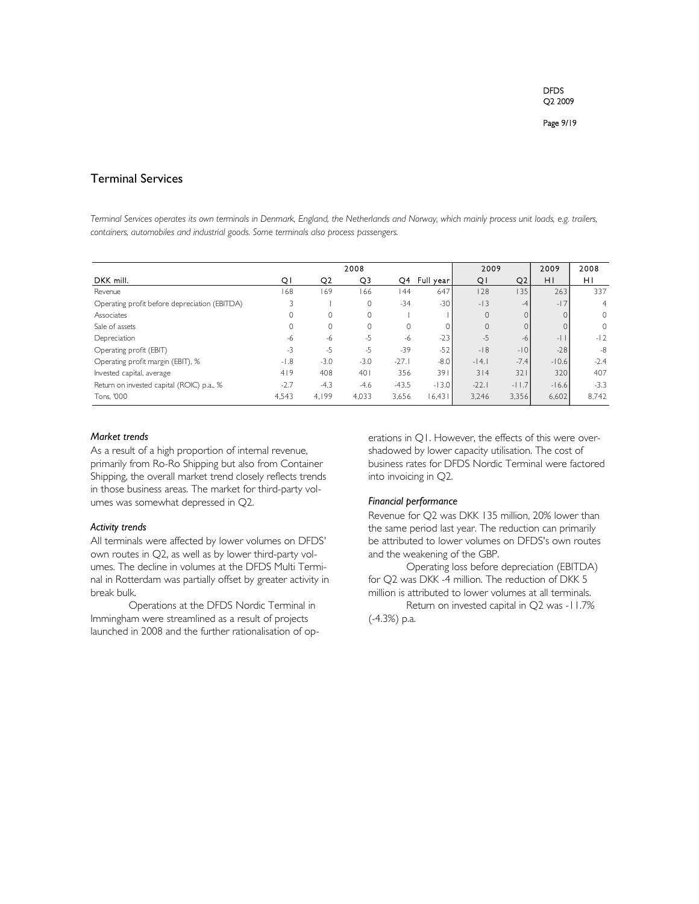## Terminal Services

*Terminal Services operates its own terminals in Denmark, England, the Netherlands and Norway, which mainly process unit loads, e.g. trailers, containers, automobiles and industrial goods. Some terminals also process passengers.* 

|                                               |        |              | 2008         |         |           | 2009     |          | 2009    | 2008           |
|-----------------------------------------------|--------|--------------|--------------|---------|-----------|----------|----------|---------|----------------|
| DKK mill.                                     | Q١     | Q2           | Q3           | O4.     | Full year | QI       | Q2       | HI      | ΗI             |
| Revenue                                       | 168    | 169          | 166          | 44      | 647       | 128      | l 35     | 263     | 337            |
| Operating profit before depreciation (EBITDA) |        |              | $\mathbf{0}$ | $-34$   | $-30$     | $-13$    | $-4$     | $-17$   | $\overline{4}$ |
| Associates                                    |        | $\mathbf{0}$ | $\mathbf 0$  |         |           | $\Omega$ | $\Omega$ |         | $\circ$        |
| Sale of assets                                |        | $\mathbf{0}$ | $\Omega$     |         |           | $\Omega$ |          |         | $\circ$        |
| Depreciation                                  | -6     | $-6$         | $-5$         | -6      | $-23$     | $-5$     | $-6$     | $-1$    | $-12$          |
| Operating profit (EBIT)                       | $-3$   | $-5$         | $-5$         | $-39$   | $-52$     | $-18$    | $-10$    | $-28$   | $-8$           |
| Operating profit margin (EBIT), %             | $-1.8$ | $-3.0$       | $-3.0$       | $-27.1$ | $-8.0$    | $-14.1$  | $-7.4$   | $-10.6$ | $-2.4$         |
| Invested capital, average                     | 419    | 408          | 401          | 356     | 391       | 314      | 321      | 320     | 407            |
| Return on invested capital (ROIC) p.a., %     | $-2.7$ | $-4.3$       | $-4.6$       | $-43.5$ | $-13.0$   | $-22.1$  | $-11.7$  | $-16.6$ | $-3.3$         |
| Tons. '000                                    | 4.543  | 4.199        | 4,033        | 3,656   | 16.431    | 3.246    | 3,356    | 6,602   | 8.742          |

#### *Market trends*

As a result of a high proportion of internal revenue, primarily from Ro-Ro Shipping but also from Container Shipping, the overall market trend closely reflects trends in those business areas. The market for third-party volumes was somewhat depressed in Q2.

## *Activity trends*

All terminals were affected by lower volumes on DFDS' own routes in Q2, as well as by lower third-party volumes. The decline in volumes at the DFDS Multi Terminal in Rotterdam was partially offset by greater activity in break bulk.

Operations at the DFDS Nordic Terminal in Immingham were streamlined as a result of projects launched in 2008 and the further rationalisation of operations in Q1. However, the effects of this were overshadowed by lower capacity utilisation. The cost of business rates for DFDS Nordic Terminal were factored into invoicing in Q2.

## *Financial performance*

Revenue for Q2 was DKK 135 million, 20% lower than the same period last year. The reduction can primarily be attributed to lower volumes on DFDS's own routes and the weakening of the GBP.

Operating loss before depreciation (EBITDA) for Q2 was DKK -4 million. The reduction of DKK 5 million is attributed to lower volumes at all terminals.

Return on invested capital in Q2 was -11.7% (-4.3%) p.a.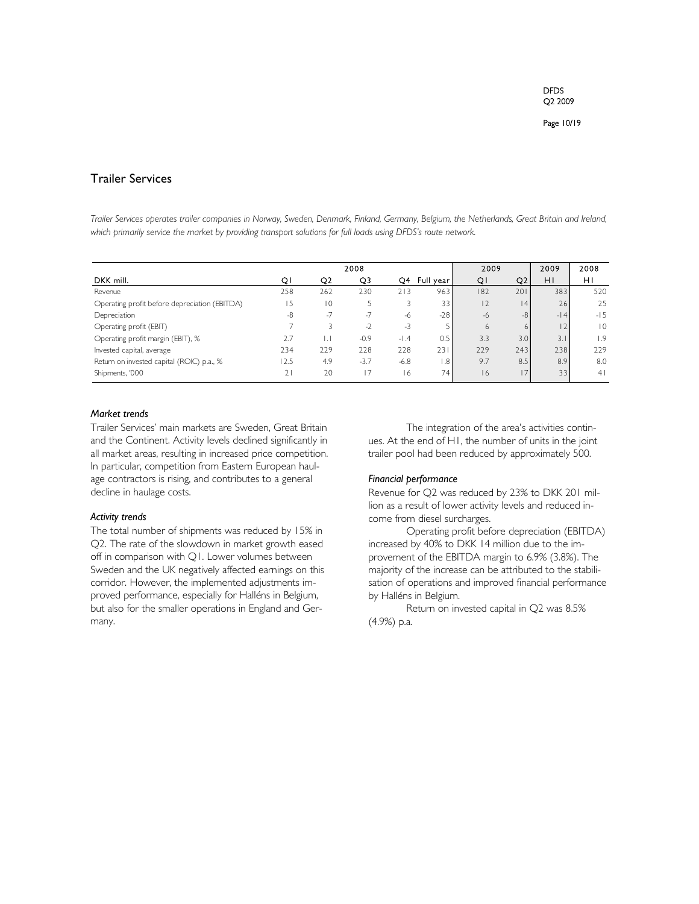## Trailer Services

*Trailer Services operates trailer companies in Norway, Sweden, Denmark, Finland, Germany, Belgium, the Netherlands, Great Britain and Ireland,*  which primarily service the market by providing transport solutions for full loads using DFDS's route network.

|                                               | 2008 |                |        |        |            | 2009 |      | 2009           | 2008           |
|-----------------------------------------------|------|----------------|--------|--------|------------|------|------|----------------|----------------|
| DKK mill.                                     | Q١   | Q2             | Q3     | Q4     | Full year! | QI   | Q2   | ΗI             | ΗI             |
| Revenue                                       | 258  | 262            | 230    | 213    | 963        | 182  | 201  | 383            | 520            |
| Operating profit before depreciation (EBITDA) | 15   | $\overline{0}$ |        |        | 33         | 2    | 4    | 26             | 25             |
| Depreciation                                  | -8   | $-7$           | $-7$   | -6     | $-28$      | $-6$ | $-8$ | $-14$          | $-15$          |
| Operating profit (EBIT)                       |      |                | $-2$   | -3     |            | 6    | 6    | $\overline{2}$ | $\overline{0}$ |
| Operating profit margin (EBIT), %             | 2.7  | IJ             | $-0.9$ | $-1.4$ | 0.5        | 3.3  | 3.0  | 3.1            | 1.9            |
| Invested capital, average                     | 234  | 229            | 228    | 228    | 231        | 229  | 243  | 238            | 229            |
| Return on invested capital (ROIC) p.a., %     | 12.5 | 4.9            | $-3.7$ | $-6.8$ | ا 8. ،     | 9.7  | 8.5  | 8.9            | 8.0            |
| Shipments, '000                               | 21   | 20             |        | 16     | 741        | 16   | 17   | 33             | 4              |

## *Market trends*

Trailer Services' main markets are Sweden, Great Britain and the Continent. Activity levels declined significantly in all market areas, resulting in increased price competition. In particular, competition from Eastern European haulage contractors is rising, and contributes to a general decline in haulage costs.

#### *Activity trends*

The total number of shipments was reduced by 15% in Q2. The rate of the slowdown in market growth eased off in comparison with Q1. Lower volumes between Sweden and the UK negatively affected earnings on this corridor. However, the implemented adjustments improved performance, especially for Halléns in Belgium, but also for the smaller operations in England and Germany.

The integration of the area's activities continues. At the end of H1, the number of units in the joint trailer pool had been reduced by approximately 500.

### *Financial performance*

Revenue for Q2 was reduced by 23% to DKK 201 million as a result of lower activity levels and reduced income from diesel surcharges.

Operating profit before depreciation (EBITDA) increased by 40% to DKK 14 million due to the improvement of the EBITDA margin to 6.9% (3.8%). The majority of the increase can be attributed to the stabilisation of operations and improved financial performance by Halléns in Belgium.

Return on invested capital in Q2 was 8.5% (4.9%) p.a.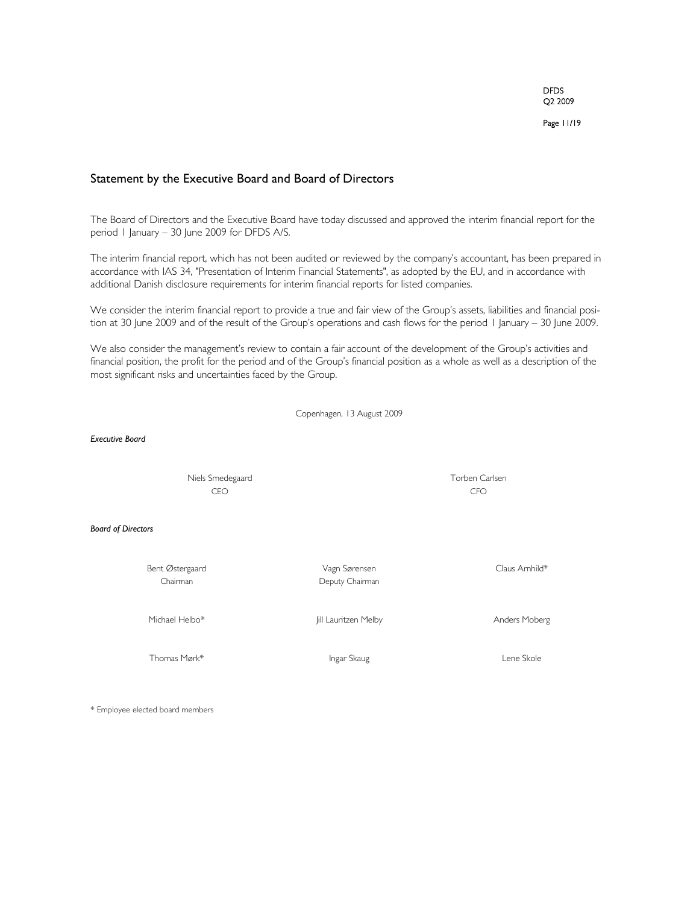Page 11/19

## Statement by the Executive Board and Board of Directors

The Board of Directors and the Executive Board have today discussed and approved the interim financial report for the period 1 January – 30 June 2009 for DFDS A/S.

The interim financial report, which has not been audited or reviewed by the company's accountant, has been prepared in accordance with IAS 34, "Presentation of Interim Financial Statements", as adopted by the EU, and in accordance with additional Danish disclosure requirements for interim financial reports for listed companies.

We consider the interim financial report to provide a true and fair view of the Group's assets, liabilities and financial position at 30 June 2009 and of the result of the Group's operations and cash flows for the period 1 January – 30 June 2009.

We also consider the management's review to contain a fair account of the development of the Group's activities and financial position, the profit for the period and of the Group's financial position as a whole as well as a description of the most significant risks and uncertainties faced by the Group.

Copenhagen, 13 August 2009

*Executive Board*

 Niels Smedegaard Torben Carlsen CEO CFO

*Board of Directors*

Bent Østergaard aan van die van die Vagn Sørensen van die Glaus Arnhild\*

Chairman Deputy Chairman

Michael Helbo\* **Michael Helbo** Jill Lauritzen Melby **Anders Moberg** Anders Moberg

Thomas Mørk\* Ingar Skaug Ingar Skaug Ingar Skaug Lene Skole

\* Employee elected board members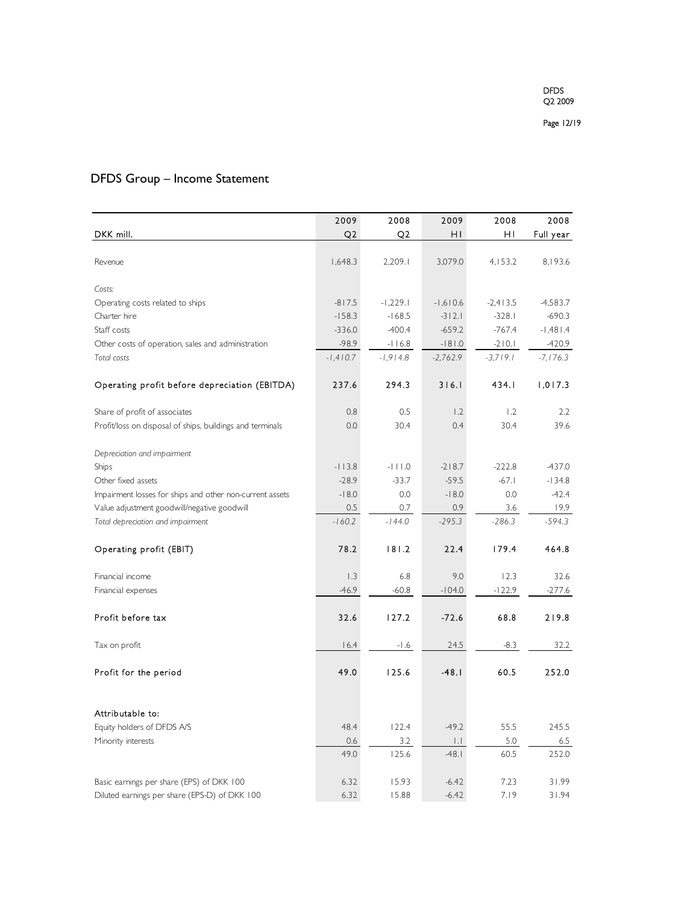# DFDS Group – Income Statement

|                                                                                            | 2009         | 2008           | 2009               | 2008         | 2008           |
|--------------------------------------------------------------------------------------------|--------------|----------------|--------------------|--------------|----------------|
| DKK mill.                                                                                  | Q2           | Q2             | ΗI                 | ΗI           | Full year      |
|                                                                                            |              |                |                    |              |                |
| Revenue                                                                                    | 1,648.3      | 2,209.1        | 3,079.0            | 4,153.2      | 8,193.6        |
|                                                                                            |              |                |                    |              |                |
| Costs:                                                                                     |              |                |                    |              |                |
| Operating costs related to ships                                                           | $-817.5$     | $-1,229.1$     | $-1,610.6$         | $-2,413.5$   | $-4,583.7$     |
| Charter hire                                                                               | $-158.3$     | $-168.5$       | $-312.1$           | $-328.1$     | $-690.3$       |
| Staff costs                                                                                | $-336.0$     | $-400.4$       | $-659.2$           | $-767.4$     | $-1,481.4$     |
| Other costs of operation, sales and administration                                         | $-98.9$      | $-116.8$       | $-181.0$           | $-210.1$     | $-420.9$       |
| Total costs                                                                                | $-1,410.7$   | $-1,914.8$     | $-2,762.9$         | $-3,719.1$   | $-7,176.3$     |
| Operating profit before depreciation (EBITDA)                                              | 237.6        | 294.3          | 316.1              | 434.I        | 1,017.3        |
| Share of profit of associates                                                              | 0.8          | 0.5            | 1.2                | 1.2          | 2.2            |
| Profit/loss on disposal of ships, buildings and terminals                                  | 0.0          | 30.4           | 0.4                | 30.4         | 39.6           |
|                                                                                            |              |                |                    |              |                |
| Depreciation and impairment                                                                |              |                |                    |              |                |
| Ships                                                                                      | $-113.8$     | $-111.0$       | $-218.7$           | $-222.8$     | $-437.0$       |
| Other fixed assets                                                                         | $-28.9$      | $-33.7$        | $-59.5$            | $-67.1$      | $-134.8$       |
| Impairment losses for ships and other non-current assets                                   | $-18.0$      | 0.0            | $-18.0$            | 0.0          | $-42.4$        |
| Value adjustment goodwill/negative goodwill                                                | 0.5          | 0.7            | 0.9                | 3.6          | 19.9           |
| Total depreciation and impairment                                                          | $-160.2$     | $-144.0$       | $-295.3$           | $-286.3$     | $-594.3$       |
|                                                                                            |              |                |                    |              |                |
| Operating profit (EBIT)                                                                    | 78.2         | 181.2          | 22.4               | 179.4        | 464.8          |
| Financial income                                                                           | 1.3          | 6.8            | 9.0                | 12.3         | 32.6           |
| Financial expenses                                                                         | $-46.9$      | $-60.8$        | $-104.0$           | $-122.9$     | $-277.6$       |
|                                                                                            |              |                |                    |              |                |
| Profit before tax                                                                          | 32.6         | 127.2          | $-72.6$            | 68.8         | 219.8          |
| Tax on profit                                                                              | 16.4         | $-1.6$         | 24.5               | $-8.3$       | 32.2           |
|                                                                                            |              |                |                    |              |                |
| Profit for the period                                                                      | 49.0         | 125.6          | $-48.1$            | 60.5         | 252.0          |
|                                                                                            |              |                |                    |              |                |
| Attributable to:                                                                           |              |                |                    |              |                |
| Equity holders of DFDS A/S                                                                 | 48.4         | 122.4          | $-49.2$            | 55.5         | 245.5          |
| Minority interests                                                                         | 0.6          | 3.2            | IJ.                | 5.0          | 6.5            |
|                                                                                            | 49.0         | 125.6          | $-48.1$            | 60.5         | 252.0          |
|                                                                                            |              |                |                    |              |                |
| Basic earnings per share (EPS) of DKK 100<br>Diluted earnings per share (EPS-D) of DKK 100 | 6.32<br>6.32 | 15.93<br>15.88 | $-6.42$<br>$-6.42$ | 7.23<br>7.19 | 31.99<br>31.94 |
|                                                                                            |              |                |                    |              |                |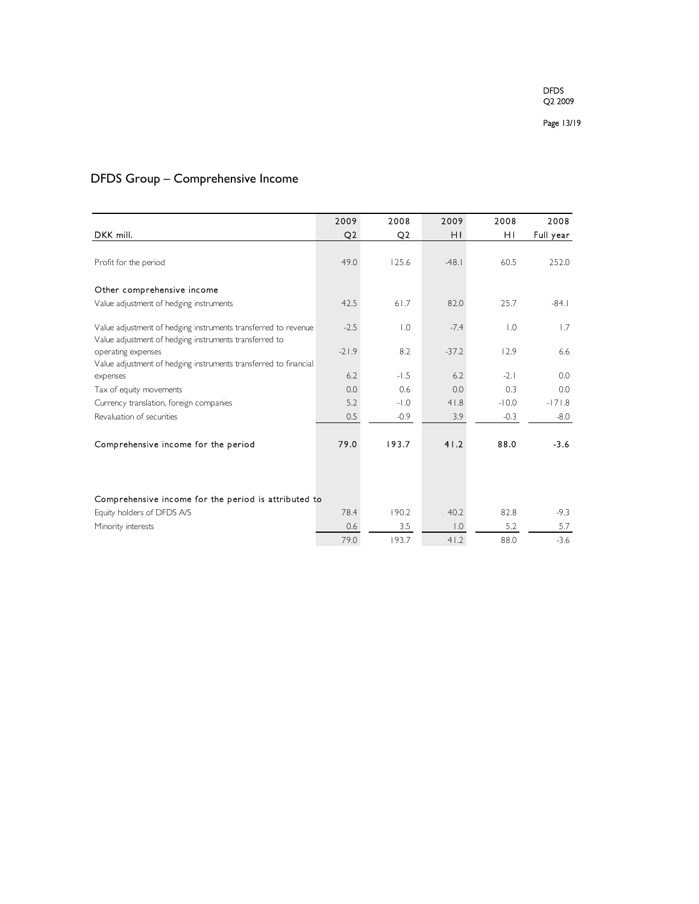# DFDS Group – Comprehensive Income

|                                                                                        | 2009           | 2008             | 2009             | 2008             | 2008      |
|----------------------------------------------------------------------------------------|----------------|------------------|------------------|------------------|-----------|
| DKK mill.                                                                              | Q <sub>2</sub> | Q2               | ΗI               | ΗI               | Full year |
|                                                                                        |                |                  |                  |                  |           |
| Profit for the period                                                                  | 49.0           | 125.6            | $-48.1$          | 60.5             | 252.0     |
|                                                                                        |                |                  |                  |                  |           |
| Other comprehensive income                                                             |                |                  |                  |                  |           |
| Value adjustment of hedging instruments                                                | 42.5           | 61.7             | 82.0             | 25.7             | $-84.1$   |
|                                                                                        |                |                  |                  |                  |           |
| Value adjustment of hedging instruments transferred to revenue                         | $-2.5$         | $\overline{1.0}$ | $-7.4$           | $\overline{0}$ . | 1.7       |
| Value adjustment of hedging instruments transferred to                                 | $-21.9$        | 8.2              | $-37.2$          | 12.9             | 6.6       |
| operating expenses<br>Value adjustment of hedging instruments transferred to financial |                |                  |                  |                  |           |
| expenses                                                                               | 6.2            | $-1.5$           | 6.2              | $-2.1$           | 0.0       |
| Tax of equity movements                                                                | 0.0            | 0.6              | 0.0              | 0.3              | 0.0       |
| Currency translation, foreign companies                                                | 5.2            | $-1.0$           | 41.8             | $-10.0$          | $-171.8$  |
| Revaluation of securities                                                              | 0.5            | $-0.9$           | 3.9              | $-0.3$           | $-8.0$    |
|                                                                                        |                |                  |                  |                  |           |
| Comprehensive income for the period                                                    | 79.0           | 193.7            | 41.2             | 88.0             | $-3.6$    |
|                                                                                        |                |                  |                  |                  |           |
|                                                                                        |                |                  |                  |                  |           |
|                                                                                        |                |                  |                  |                  |           |
| Comprehensive income for the period is attributed to                                   |                |                  |                  |                  |           |
| Equity holders of DFDS A/S                                                             | 78.4           | 190.2            | 40.2             | 82.8             | $-9.3$    |
| Minority interests                                                                     | 0.6            | 3.5              | $\overline{0}$ . | 5.2              | 5.7       |
|                                                                                        | 79.0           | 193.7            | 41.2             | 88.0             | $-3.6$    |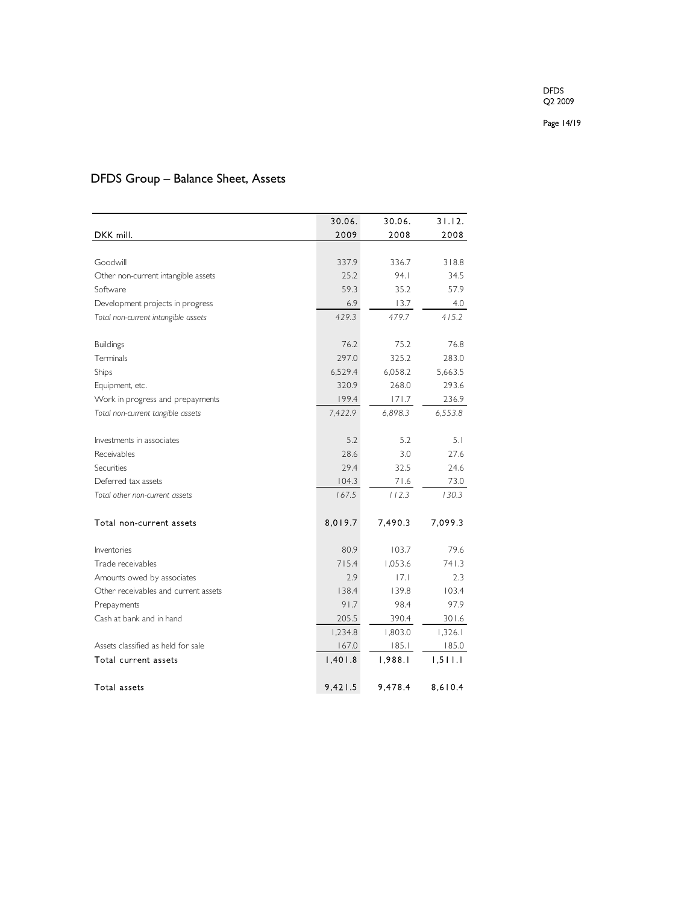Page 14/19

# DFDS Group – Balance Sheet, Assets

|                                      | 30.06.  | 30.06.  | 31.12.  |
|--------------------------------------|---------|---------|---------|
| DKK mill.                            | 2009    | 2008    | 2008    |
|                                      |         |         |         |
| Goodwill                             | 337.9   | 336.7   | 318.8   |
| Other non-current intangible assets  | 25.2    | 94.1    | 34.5    |
| Software                             | 59.3    | 35.2    | 57.9    |
| Development projects in progress     | 6.9     | 13.7    | 4.0     |
| Total non-current intangible assets  | 429.3   | 479.7   | 415.2   |
| <b>Buildings</b>                     | 76.2    | 75.2    | 76.8    |
| Terminals                            | 297.0   | 325.2   | 283.0   |
| Ships                                | 6,529.4 | 6,058.2 | 5,663.5 |
| Equipment, etc.                      | 320.9   | 268.0   | 293.6   |
| Work in progress and prepayments     | 199.4   | 171.7   | 236.9   |
| Total non-current tangible assets    | 7,422.9 | 6,898.3 | 6,553.8 |
|                                      |         |         |         |
| Investments in associates            | 5.2     | 5.2     | 5.1     |
| Receivables                          | 28.6    | 3.0     | 27.6    |
| Securities                           | 29.4    | 32.5    | 24.6    |
| Deferred tax assets                  | 104.3   | 71.6    | 73.0    |
| Total other non-current assets       | 167.5   | 112.3   | 130.3   |
| Total non-current assets             | 8,019.7 | 7,490.3 | 7.099.3 |
| Inventories                          | 80.9    | 103.7   | 79.6    |
| Trade receivables                    | 715.4   | 1,053.6 | 741.3   |
| Amounts owed by associates           | 2.9     | 7.1     | 2.3     |
| Other receivables and current assets | 138.4   | 139.8   | 103.4   |
| Prepayments                          | 91.7    | 98.4    | 97.9    |
| Cash at bank and in hand             | 205.5   | 390.4   | 301.6   |
|                                      | 1,234.8 | 1,803.0 | 1,326.1 |
| Assets classified as held for sale   | 167.0   | 185.1   | 185.0   |
| Total current assets                 | 1,401.8 | 1,988.1 | 1,511.1 |
| Total assets                         | 9,421.5 | 9,478.4 | 8,610.4 |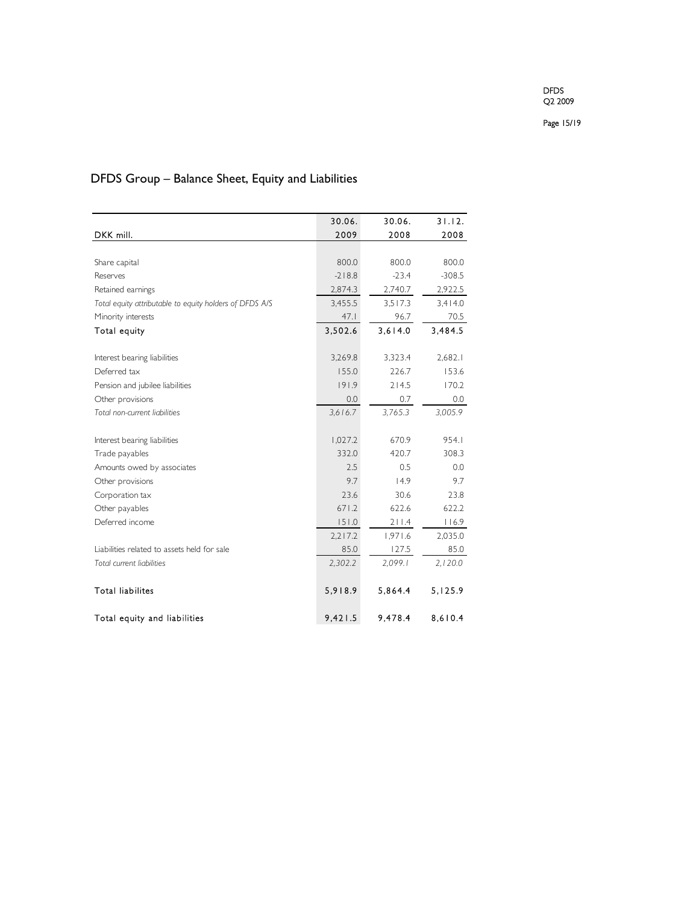Page 15/19

# DFDS Group – Balance Sheet, Equity and Liabilities

|                                                         | 30.06.   | 30.06.  | 31.12.   |
|---------------------------------------------------------|----------|---------|----------|
| DKK mill.                                               | 2009     | 2008    | 2008     |
|                                                         |          |         |          |
| Share capital                                           | 800.0    | 800.0   | 800.0    |
| Reserves                                                | $-218.8$ | $-23.4$ | $-308.5$ |
| Retained earnings                                       | 2,874.3  | 2,740.7 | 2,922.5  |
| Total equity attributable to equity holders of DFDS A/S | 3,455.5  | 3.517.3 | 3,414.0  |
| Minority interests                                      | 47.1     | 96.7    | 70.5     |
| Total equity                                            | 3,502.6  | 3,614.0 | 3.484.5  |
|                                                         |          |         |          |
| Interest bearing liabilities                            | 3,269.8  | 3,323.4 | 2,682.1  |
| Deferred tax                                            | 155.0    | 226.7   | 153.6    |
| Pension and jubilee liabilities                         | 191.9    | 214.5   | 170.2    |
| Other provisions                                        | 0.0      | 0.7     | 0.0      |
| Total non-current liabilities                           | 3.616.7  | 3,765.3 | 3,005.9  |
|                                                         |          |         |          |
| Interest bearing liabilities                            | 1,027.2  | 670.9   | 954.1    |
| Trade payables                                          | 332.0    | 420.7   | 308.3    |
| Amounts owed by associates                              | 2.5      | 0.5     | 0.0      |
| Other provisions                                        | 9.7      | 14.9    | 9.7      |
| Corporation tax                                         | 23.6     | 30.6    | 23.8     |
| Other payables                                          | 671.2    | 622.6   | 622.2    |
| Deferred income                                         | 151.0    | 211.4   | 116.9    |
|                                                         | 2,217.2  | 1,971.6 | 2,035.0  |
| Liabilities related to assets held for sale             | 85.0     | 127.5   | 85.0     |
| Total current liabilities                               | 2,302.2  | 2,099.1 | 2,120.0  |
|                                                         |          |         |          |
| <b>Total liabilites</b>                                 | 5,918.9  | 5,864.4 | 5,125.9  |
| Total equity and liabilities                            | 9,421.5  | 9,478.4 | 8,610.4  |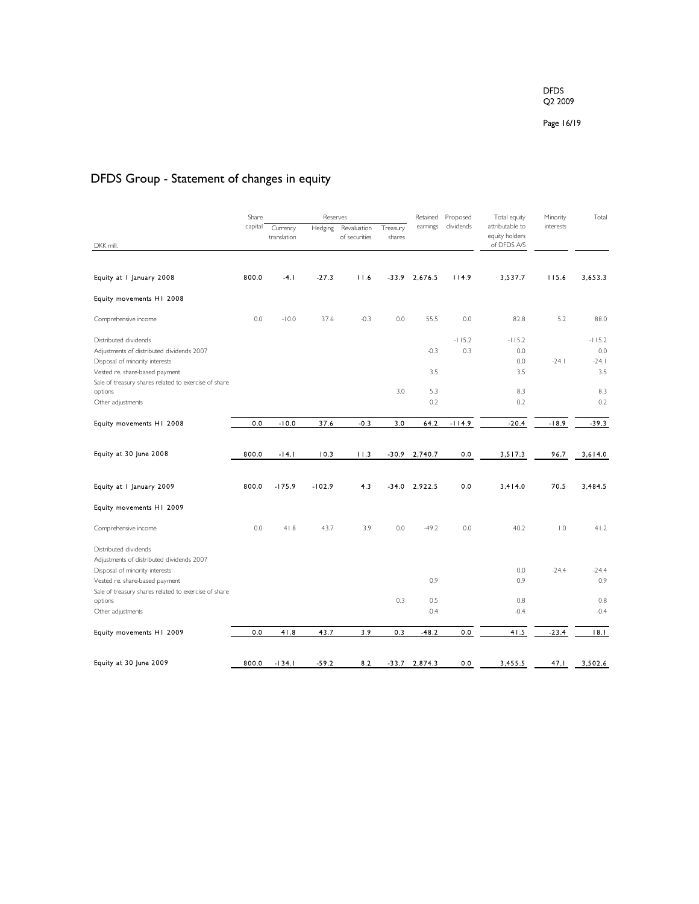Page 16/19

# DFDS Group - Statement of changes in equity

|                                                                             | Share   |                         | Reserves |                              |                    | Retained | Proposed  | Total equity                      | Minority  | Total      |
|-----------------------------------------------------------------------------|---------|-------------------------|----------|------------------------------|--------------------|----------|-----------|-----------------------------------|-----------|------------|
|                                                                             | capital | Currency<br>translation | Hedging  | Revaluation<br>of securities | Treasury<br>shares | earnings | dividends | attributable to<br>equity holders | interests |            |
| DKK mill.                                                                   |         |                         |          |                              |                    |          |           | of DFDS A/S                       |           |            |
| Equity at I January 2008                                                    | 800.0   | $-4.1$                  | $-27.3$  | 11.6                         | -33.9              | 2,676.5  | 114.9     | 3,537.7                           | 115.6     | 3,653.3    |
| Equity movements H1 2008                                                    |         |                         |          |                              |                    |          |           |                                   |           |            |
| Comprehensive income                                                        | 0.0     | $-10.0$                 | 37.6     | $-0.3$                       | 0.0                | 55.5     | 0.0       | 82.8                              | 5.2       | 88.0       |
| Distributed dividends                                                       |         |                         |          |                              |                    |          | $-115.2$  | $-115.2$                          |           | $-115.2$   |
| Adjustments of distributed dividends 2007                                   |         |                         |          |                              |                    | $-0.3$   | 0.3       | 0.0                               |           | 0.0        |
| Disposal of minority interests                                              |         |                         |          |                              |                    |          |           | 0.0                               | $-24.1$   | $-24.1$    |
| Vested re. share-based payment                                              |         |                         |          |                              |                    | 3.5      |           | 3.5                               |           | 3.5        |
| Sale of treasury shares related to exercise of share                        |         |                         |          |                              | 3.0                | 5.3      |           | 8.3                               |           |            |
| options<br>Other adjustments                                                |         |                         |          |                              |                    | 0.2      |           | 0.2                               |           | 8.3<br>0.2 |
|                                                                             |         |                         |          |                              |                    |          |           |                                   |           |            |
| Equity movements H1 2008                                                    | 0.0     | $-10.0$                 | 37.6     | $-0.3$                       | 3.0                | 64.2     | $-114.9$  | $-20.4$                           | $-18.9$   | $-39.3$    |
|                                                                             |         |                         |          |                              |                    |          |           |                                   |           |            |
| Equity at 30 June 2008                                                      | 800.0   | $-14.1$                 | 10.3     | 11.3                         | $-30.9$            | 2,740.7  | 0.0       | 3,517.3                           | 96.7      | 3,614.0    |
| Equity at I January 2009                                                    | 800.0   | $-175.9$                | $-102.9$ | 4.3                          | $-34.0$            | 2,922.5  | 0.0       | 3.414.0                           | 70.5      | 3.484.5    |
| Equity movements H1 2009                                                    |         |                         |          |                              |                    |          |           |                                   |           |            |
| Comprehensive income                                                        | 0.0     | 41.8                    | 43.7     | 3.9                          | 0.0                | $-49.2$  | 0.0       | 40.2                              | 1.0       | 41.2       |
| Distributed dividends                                                       |         |                         |          |                              |                    |          |           |                                   |           |            |
| Adjustments of distributed dividends 2007<br>Disposal of minority interests |         |                         |          |                              |                    |          |           | 0.0                               | $-24.4$   | $-24.4$    |
| Vested re. share-based payment                                              |         |                         |          |                              |                    | 0.9      |           | 0.9                               |           | 0.9        |
| Sale of treasury shares related to exercise of share                        |         |                         |          |                              |                    |          |           |                                   |           |            |
| options                                                                     |         |                         |          |                              | 0.3                | 0.5      |           | 0.8                               |           | 0.8        |
| Other adjustments                                                           |         |                         |          |                              |                    | $-0.4$   |           | $-0.4$                            |           | $-0.4$     |
| Equity movements H1 2009                                                    | 0.0     | 41.8                    | 43.7     | 3.9                          | 0.3                | -48.2    | 0.0       | 41.5                              | $-23.4$   | 18.1       |
|                                                                             |         |                         |          |                              |                    |          |           |                                   |           |            |
| Equity at 30 June 2009                                                      | 800.0   | $-134.1$                | $-59.2$  | 8.2                          | $-33.7$            | 2,874.3  | 0.0       | 3,455.5                           | 47.1      | 3,502.6    |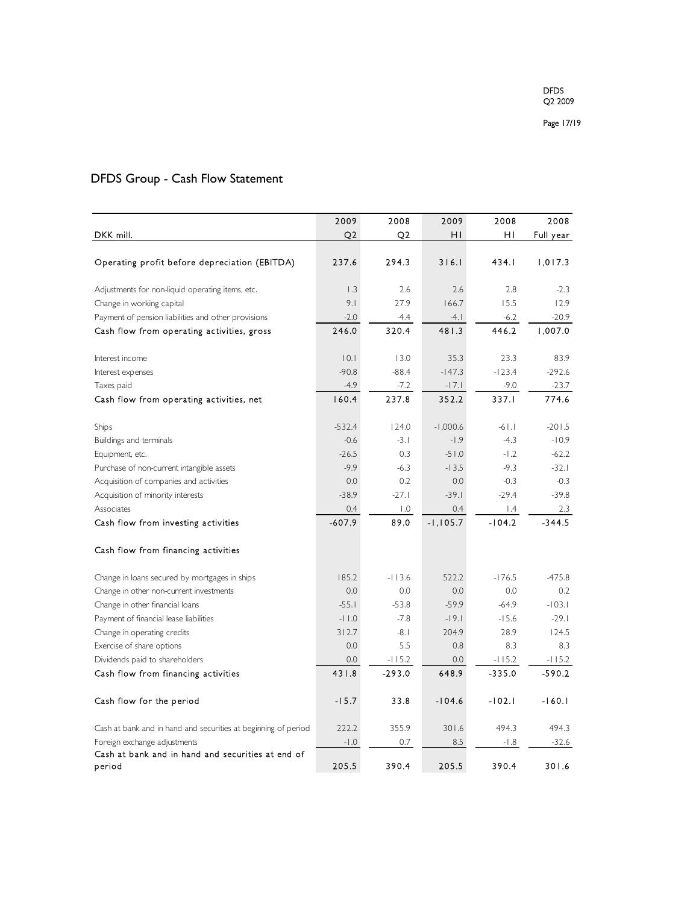# DFDS Group - Cash Flow Statement

|                                                                | 2009           | 2008             | 2009       | 2008                    | 2008      |
|----------------------------------------------------------------|----------------|------------------|------------|-------------------------|-----------|
| DKK mill.                                                      | Q <sub>2</sub> | Q <sub>2</sub>   | ΗI         | ΗI                      | Full year |
|                                                                |                |                  |            |                         |           |
| Operating profit before depreciation (EBITDA)                  | 237.6          | 294.3            | 316.1      | 434.1                   | 1,017.3   |
|                                                                |                |                  |            |                         |           |
| Adjustments for non-liquid operating items, etc.               | 1.3            | 2.6              | 2.6        | 2.8                     | $-2.3$    |
| Change in working capital                                      | 9.1            | 27.9             | 166.7      | 15.5                    | 12.9      |
| Payment of pension liabilities and other provisions            | $-2.0$         | -4.4             | -4.1       | $-6.2$                  | $-20.9$   |
| Cash flow from operating activities, gross                     | 246.0          | 320.4            | 481.3      | 446.2                   | 1,007.0   |
| Interest income                                                | 0.1            | 13.0             | 35.3       | 23.3                    | 83.9      |
| Interest expenses                                              | $-90.8$        | $-88.4$          | $-147.3$   | $-123.4$                | $-292.6$  |
| Taxes paid                                                     | $-4.9$         | $-7.2$           | $-17.1$    | $-9.0$                  | $-23.7$   |
| Cash flow from operating activities, net                       | 160.4          | 237.8            | 352.2      | 337.I                   | 774.6     |
|                                                                |                |                  |            |                         |           |
| Ships                                                          | $-532.4$       | 124.0            | $-1,000.6$ | $-61.1$                 | $-201.5$  |
| Buildings and terminals                                        | $-0.6$         | $-3.1$           | $-1.9$     | $-4.3$                  | $-10.9$   |
| Equipment, etc.                                                | $-26.5$        | 0.3              | $-51.0$    | $-1.2$                  | $-62.2$   |
| Purchase of non-current intangible assets                      | $-9.9$         | $-6.3$           | $-13.5$    | $-9.3$                  | $-32.1$   |
| Acquisition of companies and activities                        | 0.0            | 0.2              | 0.0        | $-0.3$                  | $-0.3$    |
| Acquisition of minority interests                              | $-38.9$        | $-27.1$          | $-39.1$    | $-29.4$                 | $-39.8$   |
| Associates                                                     | 0.4            | $\overline{0}$ . | 0.4        | $\mathsf{I}.\mathsf{4}$ | 2.3       |
| Cash flow from investing activities                            | $-607.9$       | 89.0             | $-1,105.7$ | $-104.2$                | $-344.5$  |
|                                                                |                |                  |            |                         |           |
| Cash flow from financing activities                            |                |                  |            |                         |           |
| Change in loans secured by mortgages in ships                  | 185.2          | $-113.6$         | 522.2      | $-176.5$                | $-475.8$  |
| Change in other non-current investments                        | 0.0            | 0.0              | 0.0        | 0.0                     | 0.2       |
| Change in other financial loans                                | $-55.1$        | $-53.8$          | $-59.9$    | $-64.9$                 | $-103.1$  |
| Payment of financial lease liabilities                         | $-11.0$        | $-7.8$           | $-19.1$    | $-15.6$                 | $-29.1$   |
| Change in operating credits                                    | 312.7          | $-8.1$           | 204.9      | 28.9                    | 124.5     |
| Exercise of share options                                      | 0.0            | 5.5              | 0.8        | 8.3                     | 8.3       |
| Dividends paid to shareholders                                 | 0.0            | $-115.2$         | 0.0        | $-115.2$                | $-115.2$  |
| Cash flow from financing activities                            | 431.8          | $-293.0$         | 648.9      | $-335.0$                | $-590.2$  |
|                                                                |                |                  |            |                         |           |
| Cash flow for the period                                       | $-15.7$        | 33.8             | $-104.6$   | $-102.1$                | $-160.1$  |
| Cash at bank and in hand and securities at beginning of period | 222.2          | 355.9            | 301.6      | 494.3                   | 494.3     |
| Foreign exchange adjustments                                   | $-1.0$         | 0.7              | 8.5        | $-1.8$                  | $-32.6$   |
| Cash at bank and in hand and securities at end of              |                |                  |            |                         |           |
| period                                                         | 205.5          | 390.4            | 205.5      | 390.4                   | 301.6     |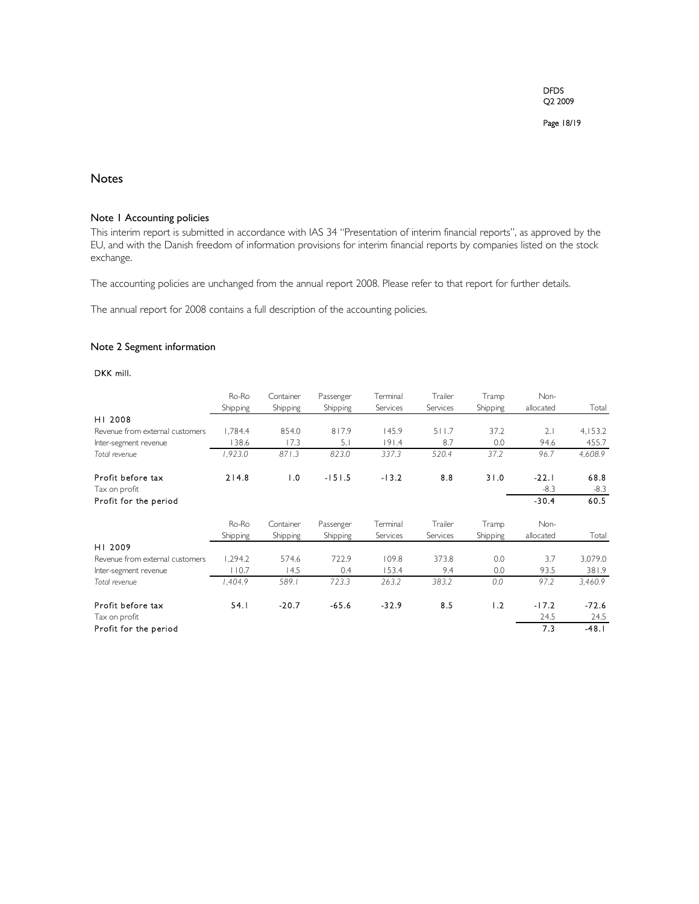Page 18/19

## Notes

#### Note 1 Accounting policies

This interim report is submitted in accordance with IAS 34 "Presentation of interim financial reports", as approved by the EU, and with the Danish freedom of information provisions for interim financial reports by companies listed on the stock exchange.

The accounting policies are unchanged from the annual report 2008. Please refer to that report for further details.

The annual report for 2008 contains a full description of the accounting policies.

## Note 2 Segment information

## DKK mill.

|                                 | Ro-Ro    | Container | Passenger | Terminal | Trailer  | Tramp    | Non-      |         |
|---------------------------------|----------|-----------|-----------|----------|----------|----------|-----------|---------|
|                                 | Shipping | Shipping  | Shipping  | Services | Services | Shipping | allocated | Total   |
| HI 2008                         |          |           |           |          |          |          |           |         |
| Revenue from external customers | 1.784.4  | 854.0     | 817.9     | 145.9    | 511.7    | 37.2     | 2.1       | 4,153.2 |
| Inter-segment revenue           | 138.6    | 17.3      | 5.1       | 191.4    | 8.7      | 0.0      | 94.6      | 455.7   |
| Total revenue                   | 1,923.0  | 871.3     | 823.0     | 337.3    | 520.4    | 37.2     | 96.7      | 4,608.9 |
| Profit before tax               | 214.8    | 1.0       | $-151.5$  | $-13.2$  | 8.8      | 31.0     | $-22.1$   | 68.8    |
| Tax on profit                   |          |           |           |          |          |          | $-8.3$    | $-8.3$  |
| Profit for the period           |          |           |           |          |          |          | $-30.4$   | 60.5    |
|                                 | Ro-Ro    | Container | Passenger | Terminal | Trailer  | Tramp    | Non-      |         |
|                                 | Shipping | Shipping  | Shipping  | Services | Services | Shipping | allocated | Total   |
| HI 2009                         |          |           |           |          |          |          |           |         |
| Revenue from external customers | 1,294.2  | 574.6     | 722.9     | 109.8    | 373.8    | 0.0      | 3.7       | 3,079.0 |
| Inter-segment revenue           | 110.7    | 14.5      | 0.4       | 153.4    | 9.4      | 0.0      | 93.5      | 381.9   |
| Total revenue                   | 1,404.9  | 589.1     | 723.3     | 263.2    | 383.2    | 0.0      | 97.2      | 3,460.9 |
| Profit before tax               | 54.1     | $-20.7$   | $-65.6$   | $-32.9$  | 8.5      | 1.2      | $-17.2$   | $-72.6$ |
| Tax on profit                   |          |           |           |          |          |          | 24.5      | 24.5    |
| Profit for the period           |          |           |           |          |          |          | 7.3       | $-48.1$ |